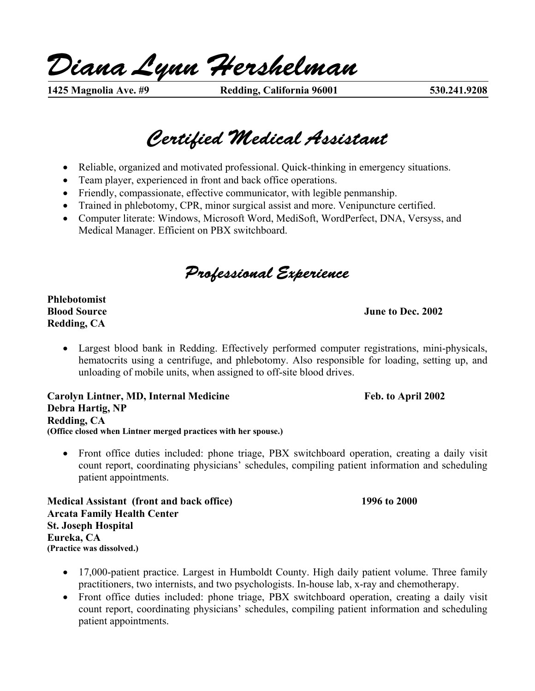*Diana Lynn Hershelman* 

**1425 Magnolia Ave. #9 Redding, California 96001 530.241.9208** 

# *Certified Medical Assistant*

- Reliable, organized and motivated professional. Quick-thinking in emergency situations.
- Team player, experienced in front and back office operations.
- Friendly, compassionate, effective communicator, with legible penmanship.
- Trained in phlebotomy, CPR, minor surgical assist and more. Venipuncture certified.
- Computer literate: Windows, Microsoft Word, MediSoft, WordPerfect, DNA, Versyss, and Medical Manager. Efficient on PBX switchboard.

*Professional Experience* 

**Phlebotomist Redding, CA** 

#### **Blood Source June to Dec. 2002**

• Largest blood bank in Redding. Effectively performed computer registrations, mini-physicals, hematocrits using a centrifuge, and phlebotomy. Also responsible for loading, setting up, and unloading of mobile units, when assigned to off-site blood drives.

Carolyn Lintner, MD, Internal Medicine **Feb. to April 2002 Debra Hartig, NP Redding, CA (Office closed when Lintner merged practices with her spouse.)** 

• Front office duties included: phone triage, PBX switchboard operation, creating a daily visit count report, coordinating physicians' schedules, compiling patient information and scheduling patient appointments.

**Medical Assistant (front and back office) 1996 to 2000 Arcata Family Health Center St. Joseph Hospital Eureka, CA (Practice was dissolved.)** 

- 17,000-patient practice. Largest in Humboldt County. High daily patient volume. Three family practitioners, two internists, and two psychologists. In-house lab, x-ray and chemotherapy.
- Front office duties included: phone triage, PBX switchboard operation, creating a daily visit count report, coordinating physicians' schedules, compiling patient information and scheduling patient appointments.